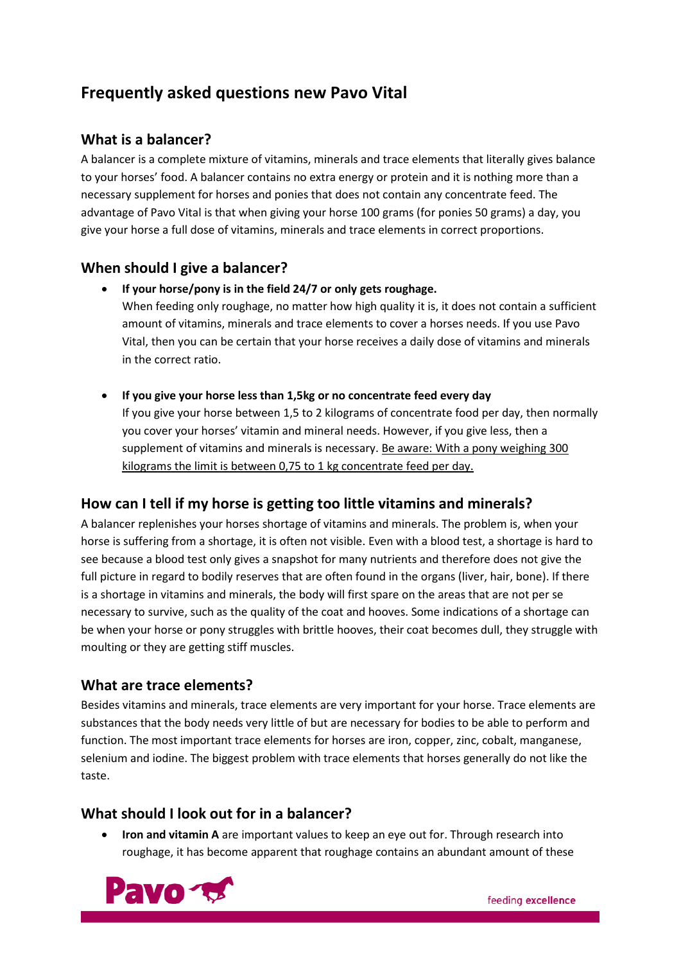# **Frequently asked questions new Pavo Vital**

# **What is a balancer?**

A balancer is a complete mixture of vitamins, minerals and trace elements that literally gives balance to your horses' food. A balancer contains no extra energy or protein and it is nothing more than a necessary supplement for horses and ponies that does not contain any concentrate feed. The advantage of Pavo Vital is that when giving your horse 100 grams (for ponies 50 grams) a day, you give your horse a full dose of vitamins, minerals and trace elements in correct proportions.

# **When should I give a balancer?**

• **If your horse/pony is in the field 24/7 or only gets roughage.**

When feeding only roughage, no matter how high quality it is, it does not contain a sufficient amount of vitamins, minerals and trace elements to cover a horses needs. If you use Pavo Vital, then you can be certain that your horse receives a daily dose of vitamins and minerals in the correct ratio.

• **If you give your horse less than 1,5kg or no concentrate feed every day**

If you give your horse between 1,5 to 2 kilograms of concentrate food per day, then normally you cover your horses' vitamin and mineral needs. However, if you give less, then a supplement of vitamins and minerals is necessary. Be aware: With a pony weighing 300 kilograms the limit is between 0,75 to 1 kg concentrate feed per day.

# **How can I tell if my horse is getting too little vitamins and minerals?**

A balancer replenishes your horses shortage of vitamins and minerals. The problem is, when your horse is suffering from a shortage, it is often not visible. Even with a blood test, a shortage is hard to see because a blood test only gives a snapshot for many nutrients and therefore does not give the full picture in regard to bodily reserves that are often found in the organs (liver, hair, bone). If there is a shortage in vitamins and minerals, the body will first spare on the areas that are not per se necessary to survive, such as the quality of the coat and hooves. Some indications of a shortage can be when your horse or pony struggles with brittle hooves, their coat becomes dull, they struggle with moulting or they are getting stiff muscles.

# **What are trace elements?**

Besides vitamins and minerals, trace elements are very important for your horse. Trace elements are substances that the body needs very little of but are necessary for bodies to be able to perform and function. The most important trace elements for horses are iron, copper, zinc, cobalt, manganese, selenium and iodine. The biggest problem with trace elements that horses generally do not like the taste.

### **What should I look out for in a balancer?**

• **Iron and vitamin A** are important values to keep an eye out for. Through research into roughage, it has become apparent that roughage contains an abundant amount of these

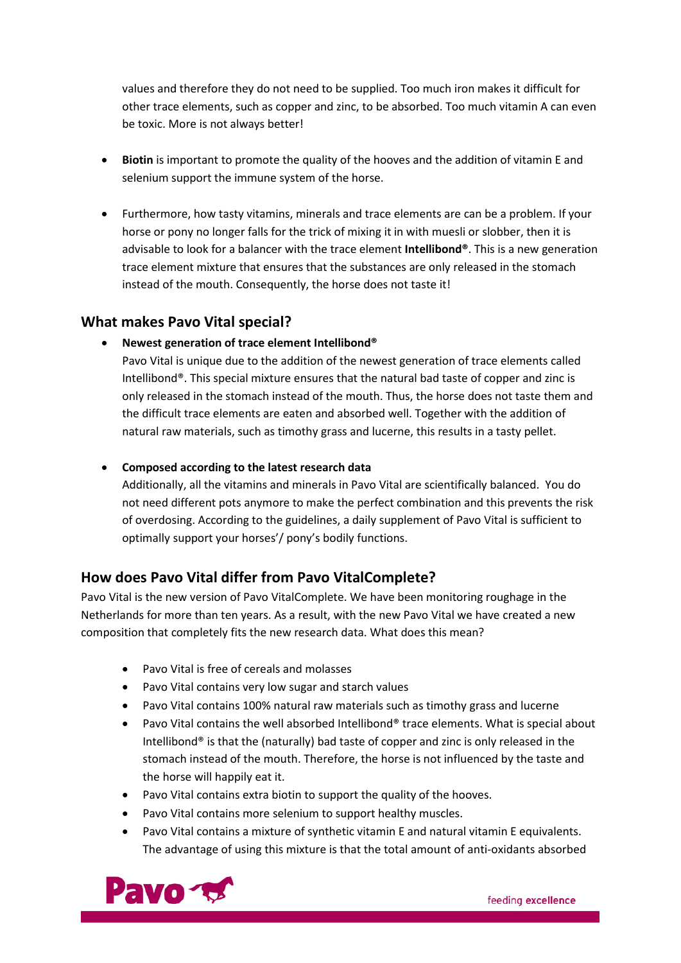values and therefore they do not need to be supplied. Too much iron makes it difficult for other trace elements, such as copper and zinc, to be absorbed. Too much vitamin A can even be toxic. More is not always better!

- **Biotin** is important to promote the quality of the hooves and the addition of vitamin E and selenium support the immune system of the horse.
- Furthermore, how tasty vitamins, minerals and trace elements are can be a problem. If your horse or pony no longer falls for the trick of mixing it in with muesli or slobber, then it is advisable to look for a balancer with the trace element **Intellibond®**. This is a new generation trace element mixture that ensures that the substances are only released in the stomach instead of the mouth. Consequently, the horse does not taste it!

### **What makes Pavo Vital special?**

#### • **Newest generation of trace element Intellibond®**

Pavo Vital is unique due to the addition of the newest generation of trace elements called Intellibond®. This special mixture ensures that the natural bad taste of copper and zinc is only released in the stomach instead of the mouth. Thus, the horse does not taste them and the difficult trace elements are eaten and absorbed well. Together with the addition of natural raw materials, such as timothy grass and lucerne, this results in a tasty pellet.

#### • **Composed according to the latest research data**

Additionally, all the vitamins and minerals in Pavo Vital are scientifically balanced. You do not need different pots anymore to make the perfect combination and this prevents the risk of overdosing. According to the guidelines, a daily supplement of Pavo Vital is sufficient to optimally support your horses'/ pony's bodily functions.

### **How does Pavo Vital differ from Pavo VitalComplete?**

Pavo Vital is the new version of Pavo VitalComplete. We have been monitoring roughage in the Netherlands for more than ten years. As a result, with the new Pavo Vital we have created a new composition that completely fits the new research data. What does this mean?

- Pavo Vital is free of cereals and molasses
- Pavo Vital contains very low sugar and starch values
- Pavo Vital contains 100% natural raw materials such as timothy grass and lucerne
- Pavo Vital contains the well absorbed Intellibond® trace elements. What is special about Intellibond<sup>®</sup> is that the (naturally) bad taste of copper and zinc is only released in the stomach instead of the mouth. Therefore, the horse is not influenced by the taste and the horse will happily eat it.
- Pavo Vital contains extra biotin to support the quality of the hooves.
- Pavo Vital contains more selenium to support healthy muscles.
- Pavo Vital contains a mixture of synthetic vitamin E and natural vitamin E equivalents. The advantage of using this mixture is that the total amount of anti-oxidants absorbed